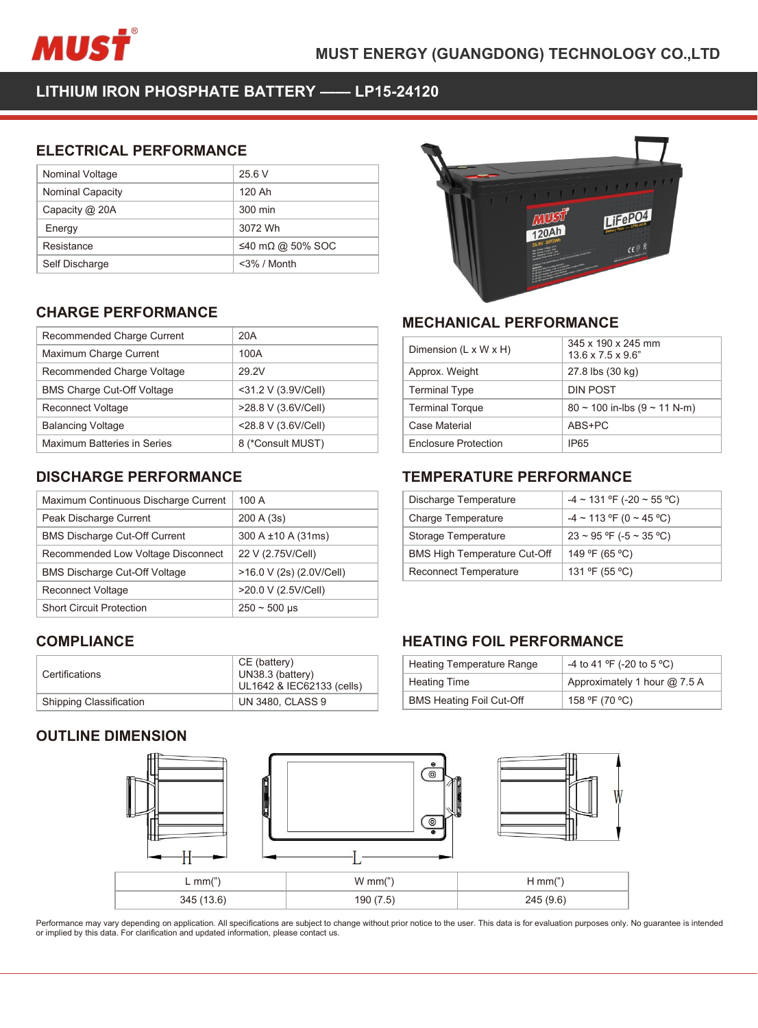

| MUSŤ                                        |                    | <b>MUST ENERGY (GUAN</b> |
|---------------------------------------------|--------------------|--------------------------|
| LITHIUM IRON PHOSPHATE BATTERY - LP15-24120 |                    |                          |
| <b>ELECTRICAL PERFORMANCE</b>               |                    |                          |
| Nominal Voltage                             | 25.6 V             |                          |
| Nominal Capacity                            | 120 Ah             |                          |
| Capacity @ 20A                              | 300 min<br>3072 Wh |                          |
| Energy<br>Resistance                        | ≤40 mΩ @ 50% SOC   |                          |
| Self Discharge                              | <3% / Month        |                          |
|                                             |                    |                          |
| <b>CHARGE PERFORMANCE</b>                   |                    |                          |
| Recommended Charge Current                  | 20A                | <b>MECHANIC</b>          |
|                                             |                    |                          |
| Maximum Charge Current                      | 100A               | Dimension (L x           |
| Recommended Charge Voltage                  | 29.2V              | Approx. Weigh            |

| Capacity @ 20A                                                             | 300 min             |                |
|----------------------------------------------------------------------------|---------------------|----------------|
| Energy                                                                     | 3072 Wh             |                |
| Resistance                                                                 | ≤40 mΩ @ 50% SOC    |                |
| Self Discharge                                                             | $<$ 3% / Month      |                |
|                                                                            |                     |                |
| <b>CHARGE PERFORMANCE</b>                                                  |                     |                |
| Recommended Charge Current                                                 | 20A                 | <b>MECH</b>    |
| Maximum Charge Current                                                     | 100A                | Dimensi        |
| Recommended Charge Voltage                                                 | 29.2V               | Approx.        |
| <b>BMS Charge Cut-Off Voltage</b>                                          | <31.2 V (3.9V/Cell) | Termina        |
| Reconnect Voltage                                                          | >28.8 V (3.6V/Cell) | Termina        |
| <b>Balancing Voltage</b>                                                   | <28.8 V (3.6V/Cell) | Case Ma        |
| <b>Maximum Batteries in Series</b>                                         | 8 (*Consult MUST)   | Enclosu        |
| <b>DISCHARGE PERFORMANCE</b>                                               |                     | <b>TEMPI</b>   |
| Maximum Continuous Discharge Current                                       | 100 A               | Dischar        |
| Peak Discharge Current                                                     | 200 A (3s)          | Charge         |
| <b>BMS Discharge Cut-Off Current</b>                                       | 300 A ±10 A (31ms)  | Storage        |
| Recommended Low Voltage Disconnect                                         | 22 V (2.75V/Cell)   | <b>BMS Hie</b> |
| $\mathbb{R}^{110}$ $\mathbb{R}^{11}$ $\mathbb{R}^{100}$ $\mathbb{R}^{100}$ | 10.011(0.10011001)  | $\sim$         |

| <b>BMS Charge Cut-Off Voltage</b>    | <31.2 V (3.9V/Cell)                                           | <b>Terminal Type</b>                          |
|--------------------------------------|---------------------------------------------------------------|-----------------------------------------------|
| <b>Reconnect Voltage</b>             | >28.8 V (3.6V/Cell)                                           | <b>Terminal Torque</b>                        |
| <b>Balancing Voltage</b>             | <28.8 V (3.6V/Cell)                                           | Case Material                                 |
| Maximum Batteries in Series          | 8 (*Consult MUST)                                             | <b>Enclosure Protect</b>                      |
| <b>DISCHARGE PERFORMANCE</b>         |                                                               | TEMPERATL                                     |
| Maximum Continuous Discharge Current | 100 A                                                         | Discharge Tempe                               |
| Peak Discharge Current               | 200 A (3s)                                                    | <b>Charge Temperat</b>                        |
| <b>BMS Discharge Cut-Off Current</b> | 300 A ±10 A (31ms)                                            | Storage Tempera                               |
| Recommended Low Voltage Disconnect   | 22 V (2.75V/Cell)                                             | <b>BMS High Tempe</b>                         |
| <b>BMS Discharge Cut-Off Voltage</b> | >16.0 V (2s) (2.0V/Cell)                                      | Reconnect Temp                                |
| <b>Reconnect Voltage</b>             | >20.0 V (2.5V/Cell)                                           |                                               |
| <b>Short Circuit Protection</b>      | $250 - 500$ µs                                                |                                               |
| <b>COMPLIANCE</b>                    |                                                               | <b>HEATING FC</b>                             |
| Certifications                       | CE (battery)<br>UN38.3 (battery)<br>UL1642 & IEC62133 (cells) | <b>Heating Tempera</b><br><b>Heating Time</b> |
| Shipping Classification              | <b>UN 3480, CLASS 9</b>                                       | <b>BMS Heating Foil</b>                       |
| <b>OUTLINE DIMENSION</b>             |                                                               | $\Theta$<br>$\odot$                           |

# **COMPLIANCE**

| Certifications                 | CE (battery)<br>UN38.3 (battery)<br>UL1642 & IEC62133 (cells) |
|--------------------------------|---------------------------------------------------------------|
| <b>Shipping Classification</b> | <b>UN 3480, CLASS 9</b>                                       |





| MLU<br><b>MECHANICAL PERFORMANCE</b> |                                                      |
|--------------------------------------|------------------------------------------------------|
| Dimension (L x W x H)                | 345 x 190 x 245 mm<br>$13.6 \times 7.5 \times 9.6$ " |
| Approx. Weight                       | 27.8 lbs (30 kg)                                     |
| <b>Terminal Type</b>                 | <b>DIN POST</b>                                      |
| <b>Terminal Torque</b>               | $80 \sim 100$ in-lbs $(9 \sim 11$ N-m)               |
| Case Material                        | ABS+PC                                               |
| <b>Enclosure Protection</b>          | IP <sub>65</sub>                                     |
| <b>TEMPERATURE PERFORMANCE</b>       |                                                      |
| Discharge Temperature                | $-4 \sim 131$ °F (-20 ~ 55 °C)                       |
| <b>Charge Temperature</b>            | $-4 \sim 113$ °F (0 ~ 45 °C)                         |
| Storage Temperature                  | $23 \sim 95$ °F (-5 ~ 35 °C)                         |
| <b>BMS High Temperature Cut-Off</b>  | 149 °F (65 °C)                                       |
|                                      |                                                      |

| <b>Terminal Torque</b>              |                                   |
|-------------------------------------|-----------------------------------|
|                                     | $80 \sim 100$ in-lbs (9 ~ 11 N-m) |
| <b>Case Material</b>                | ABS+PC                            |
| <b>Enclosure Protection</b>         | IP <sub>65</sub>                  |
|                                     |                                   |
| <b>TEMPERATURE PERFORMANCE</b>      |                                   |
| Discharge Temperature               | $-4 \sim 131$ °F (-20 ~ 55 °C)    |
| <b>Charge Temperature</b>           | $-4 \sim 113$ °F (0 ~ 45 °C)      |
| Storage Temperature                 | $23 \sim 95$ °F (-5 ~ 35 °C)      |
| <b>BMS High Temperature Cut-Off</b> | 149 °F (65 °C)                    |
| <b>Reconnect Temperature</b>        | 131 °F (55 °C)                    |

| Storage Temperature                 | $23 \sim 95$ °F (-5 ~ 35 °C) |
|-------------------------------------|------------------------------|
| <b>BMS High Temperature Cut-Off</b> | 149 °F (65 °C)               |
| <b>Reconnect Temperature</b>        | 131 ºF (55 °C)               |
|                                     |                              |
| <b>HEATING FOIL PERFORMANCE</b>     |                              |
| <b>Heating Temperature Range</b>    | -4 to 41 °F (-20 to 5 °C)    |
| <b>Heating Time</b>                 | Approximately 1 hour @ 7.5 A |